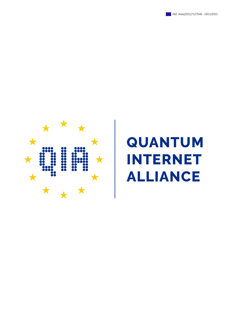



## **QUANTUM INTERNET** LLIANCE  $\boldsymbol{\Delta}$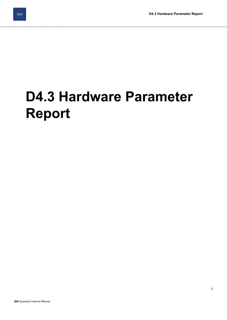---------



 $\label{eq:2.1} \frac{1}{2} \left( \frac{1}{2} \right) \left( \frac{1}{2} \right) \left( \frac{1}{2} \right) \left( \frac{1}{2} \right) \left( \frac{1}{2} \right) \left( \frac{1}{2} \right) \left( \frac{1}{2} \right) \left( \frac{1}{2} \right) \left( \frac{1}{2} \right) \left( \frac{1}{2} \right) \left( \frac{1}{2} \right) \left( \frac{1}{2} \right) \left( \frac{1}{2} \right) \left( \frac{1}{2} \right) \left( \frac{1}{2} \right) \left( \frac{1}{2$ 

# **D4.3 Hardware Parameter Report**

 $\label{eq:3.1} \begin{split} \mathcal{L}^{2}(\mathcal{L}^{2})&=\mathcal{L}^{2}(\mathcal{L}^{2})\oplus\mathcal{L}^{2}(\mathcal{L}^{2})\oplus\mathcal{L}^{2}(\mathcal{L}^{2})\oplus\mathcal{L}^{2}(\mathcal{L}^{2})\oplus\mathcal{L}^{2}(\mathcal{L}^{2})\oplus\mathcal{L}^{2}(\mathcal{L}^{2})\oplus\mathcal{L}^{2}(\mathcal{L}^{2})\oplus\mathcal{L}^{2}(\mathcal{L}^{2})\oplus\mathcal{L}^{2}(\mathcal{L}^{2})\$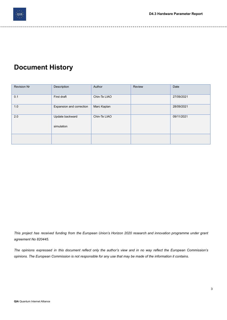

### **Document History**

 $\label{eq:2.1} \mathcal{L}(\mathcal{L})=\mathcal{L}(\mathcal{L})=\mathcal{L}(\mathcal{L})=\mathcal{L}(\mathcal{L})=\mathcal{L}(\mathcal{L})=\mathcal{L}(\mathcal{L})$ 

| <b>Revision Nr</b> | Description                   | Author       | Review | Date       |
|--------------------|-------------------------------|--------------|--------|------------|
| 0.1                | First draft                   | Chin-Te LIAO |        | 27/09/2021 |
| 1.0                | Expansion and correction      | Marc Kaplan  |        | 28/09/2021 |
| 2.0                | Update backward<br>simulation | Chin-Te LIAO |        | 09/11/2021 |
|                    |                               |              |        |            |

. . . . . . . . . . . . . .

This project has received funding from the European Union's Horizon 2020 research and innovation programme under grant *agreement No 820445.*

The opinions expressed in this document reflect only the author's view and in no way reflect the European Commission's *opinions. The European Commission is not responsible for any use that may be made of the information it contains.*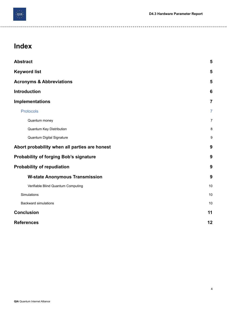

 $\sim$   $\sim$ i.  $\sim$   $\label{eq:1.1} \alpha_{\alpha} = \alpha_{\alpha} = \alpha_{\alpha} = \alpha_{\alpha} = \alpha_{\alpha} = \alpha_{\alpha}$ 

### **Index**

| <b>Abstract</b>                               | 5                |
|-----------------------------------------------|------------------|
| <b>Keyword list</b>                           | 5                |
| <b>Acronyms &amp; Abbreviations</b>           | 5                |
| <b>Introduction</b>                           | 6                |
| <b>Implementations</b>                        | $\overline{7}$   |
| <b>Protocols</b>                              | $\overline{7}$   |
| Quantum money                                 | $\overline{7}$   |
| Quantum Key Distribution                      | $\bf 8$          |
| Quantum Digital Signature                     | $\boldsymbol{9}$ |
| Abort probability when all parties are honest | 9                |
| <b>Probability of forging Bob's signature</b> | 9                |
| <b>Probability of repudiation</b>             | 9                |
| <b>W-state Anonymous Transmission</b>         | 9                |
| Verifiable Blind Quantum Computing            | 10               |
| Simulations                                   | 10               |
| <b>Backward simulations</b>                   | 10               |
| <b>Conclusion</b>                             | 11               |
| <b>References</b>                             | 12               |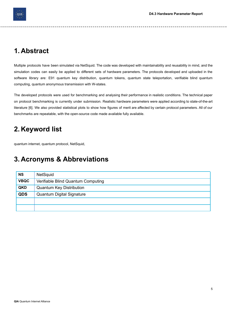### <span id="page-4-0"></span>**1. Abstract**

OIF

Multiple protocols have been simulated via NetSquid. The code was developed with maintainability and reusability in mind, and the simulation codes can easily be applied to different sets of hardware parameters. The protocols developed and uploaded in the software library are: E91 quantum key distribution, quantum tokens, quantum state teleportation, verifiable blind quantum computing, quantum anonymous transmission with W-states.

The developed protocols were used for benchmarking and analysing their performance in realistic conditions. The technical paper on protocol benchmarking is currently under submission. Realistic hardware parameters were applied according to state-of-the-art literature [6]. We also provided statistical plots to show how figures of merit are affected by certain protocol parameters. All of our benchmarks are repeatable, with the open-source code made available fully available.

### <span id="page-4-1"></span>**2. Keyword list**

quantum internet, quantum protocol, NetSquid,

### <span id="page-4-2"></span>**3. Acronyms & Abbreviations**

| <b>NS</b>   | NetSquid                           |  |  |
|-------------|------------------------------------|--|--|
| <b>VBQC</b> | Verifiable Blind Quantum Computing |  |  |
| QKD         | <b>Quantum Key Distribution</b>    |  |  |
| <b>QDS</b>  | Quantum Digital Signature          |  |  |
|             |                                    |  |  |
|             |                                    |  |  |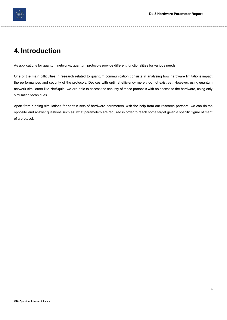### <span id="page-5-0"></span>**4. Introduction**

As applications for quantum networks, quantum protocols provide different functionalities for various needs.

One of the main difficulties in research related to quantum communication consists in analysing how hardware limitations impact the performances and security of the protocols. Devices with optimal efficiency merely do not exist yet. However, using quantum network simulators like NetSquid, we are able to assess the security of these protocols with no access to the hardware, using only simulation techniques.

. . . . . . .

Apart from running simulations for certain sets of hardware parameters, with the help from our research partners, we can do the opposite and answer questions such as: what parameters are required in order to reach some target given a specific figure of merit of a protocol.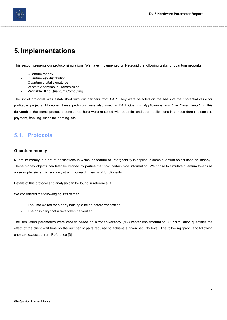### <span id="page-6-0"></span>**5. Implementations**

This section presents our protocol simulations. We have implemented on Netsquid the following tasks for quantum networks:

- Quantum money
- Quantum key distribution
- Quantum digital signatures
- W-state Anonymous Transmission
- Verifiable Blind Quantum Computing

The list of protocols was established with our partners from SAP. They were selected on the basis of their potential value for profitable projects. Moreover, these protocols were also used in D4.1 *Quantum Applications and Use Case Report*. In this deliverable, the same protocols considered here were matched with potential end-user applications in various domains such as payment, banking, machine learning, etc…

#### <span id="page-6-1"></span>**5.1. Protocols**

#### <span id="page-6-2"></span>**Quantum money**

Quantum money is a set of applications in which the feature of unforgeability is applied to some quantum object used as "money". These money objects can later be verified by parties that hold certain side information. We chose to simulate quantum tokens as an example, since it is relatively straightforward in terms of functionality.

Details of this protocol and analysis can be found in reference [1].

We considered the following figures of merit:

- The time waited for a party holding a token before verification.
- The possibility that a fake token be verified.

The simulation parameters were chosen based on nitrogen-vacancy (NV) center implementation. Our simulation quantifies the effect of the client wait time on the number of pairs required to achieve a given security level. The following graph, and following ones are extracted from Reference [3].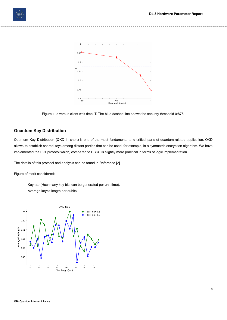



Figure 1. c versus client wait time, T. The blue dashed line shows the security threshold 0:875.

#### <span id="page-7-0"></span>**Quantum Key Distribution**

Quantum Key Distribution (QKD in short) is one of the most fundamental and critical parts of quantum-related application. QKD allows to establish shared keys among distant parties that can be used, for example, in a symmetric encryption algorithm. We have implemented the E91 protocol which, compared to BB84, is slightly more practical in terms of logic implementation.

The details of this protocol and analysis can be found in Reference [2].

Figure of merit considered:

- Keyrate (How many key bits can be generated per unit time).
- Average keybit length per qubits.

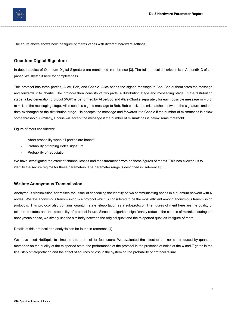

The figure above shows how the figure of merits varies with different hardware settings.

#### <span id="page-8-0"></span>**Quantum Digital Signature**

In-depth studies of Quantum Digital Signature are mentioned in reference [3]. The full protocol description is in Appendix C of the paper. We sketch it here for completeness.

This protocol has three parties, Alice, Bob, and Charlie. Alice sends the signed message to Bob. Bob authenticates the message and forwards it to charlie. The protocol then consists of two parts: a distribution stage and messaging stage. In the distribution stage, a key generation protocol (KGP) is performed by Alice-Bob and Alice-Charlie separately for each possible message m = 0 or m = 1. In the messaging stage, Alice sends a signed message to Bob. Bob checks the mismatches between the signature and the data exchanged at the distribution stage. He accepts the message and forwards it to Charlie if the number of mismatches is below some threshold. Similarly, Charlie will accept the message if the number of mismatches is below some threshold.

Figure of merit considered:

- <span id="page-8-1"></span>Abort probability when all parties are honest
- <span id="page-8-2"></span>Probability of forging Bob's signature
- <span id="page-8-3"></span>Probability of repudiation

We have investigated the effect of channel losses and measurement errors on these figures of merits. This has allowed us to identify the secure regime for these parameters. The parameter range is described in Reference [3].

#### <span id="page-8-4"></span>**W-state Anonymous Transmission**

Anonymous transmission addresses the issue of concealing the identity of two communicating nodes in a quantum network with N nodes. W-state anonymous transmission is a protocol which is considered to be the most efficient among anonymous transmission protocols. This protocol also contains quantum state teleportation as a sub-protocol. The figures of merit here are the quality of teleported states and the probability of protocol failure. Since the algorithm significantly reduces the chance of mistakes during the anonymous phase, we simply use the similarity between the original qubit and the teleported qubit as its figure of merit.

Details of this protocol and analysis can be found in reference [4].

We have used NetSquid to simulate this protocol for four users. We evaluated the effect of the noise introduced by quantum memories on the quality of the teleported state, the performance of the protocol in the presence of noise at the X and Z gates in the final step of teleportation and the effect of sources of loss in the system on the probability of protocol failure.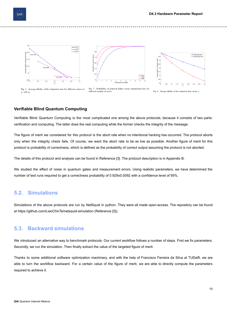

#### <span id="page-9-0"></span>**Verifiable Blind Quantum Computing**

Verifiable Blind Quantum Computing is the most complicated one among the above protocols, because it consists of two parts: verification and computing. The latter does the real computing while the former checks the integrity of the message.

The figure of merit we considered for this protocol is the abort rate when no intentional hacking has occurred. The protocol aborts only when the integrity check fails. Of course, we want the abort rate to be as low as possible. Another figure of merit for this protocol is probability of correctness, which is defined as the probability of correct output assuming the protocol is not aborted.

The details of this protocol and analysis can be found in Reference [3]. The protocol description is in Appendix B.

We studied the effect of noise in quantum gates and measurement errors. Using realistic parameters, we have determined the number of test runs required to get a correctness probability of 0.929±0.0092 with a confidence level of 95%.

#### <span id="page-9-1"></span>**5.2. Simulations**

Simulations of the above protocols are run by NetSquid in python. They were all made open-access. The repository can be found at https://github.com/LiaoChinTe/netsquid-simulation (Reference [5]).

#### <span id="page-9-2"></span>**5.3. Backward simulations**

We introduced an alternative way to benchmark protocols. Our current workflow follows a number of steps. First we fix parameters. Secondly, we run the simulation. Then finally extract the value of the targeted figure of merit.

Thanks to some additional software optimization machinery, and with the help of Francisco Ferreira da Silva at TUDelft, we are able to turn the workflow backward. For a certain value of the figure of merit, we are able to directly compute the parameters required to achieve it.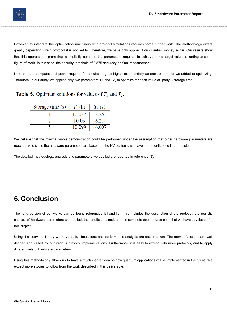

However, to integrate the optimization machinery with protocol simulations requires some further work. The methodology differs greatly depending which protocol it is applied to. Therefore, we have only applied it on quantum money so far. Our results show that this approach is promising to explicitly compute the parameters required to achieve some target value according to some figure of merit. In this case, the security threshold of 0.875 accuracy on final measurement.

Note that the computational power required for simulation goes higher exponentially as each parameter we added to optimizing. Therefore, in our study, we applied only two parameters(T1 and T2) to optimize for each value of "party A storage time":

| Storage time (s) | $T_1$ (h) | $T_2(s)$ |
|------------------|-----------|----------|
|                  | 10.037    | 3.25     |
|                  | 10.05     | 6.21     |
|                  | 10.099    | 16.007   |

**Table 5.** Optimum solutions for values of  $T_1$  and  $T_2$ .

We believe that the minimal viable demonstration could be performed under the assumption that other hardware parameters are reached. And since the hardware parameters are based on the NV-platform, we have more confidence in the results.

The detailed methodology, analysis and parameters we applied are reported in reference [3].

### <span id="page-10-0"></span>**6. Conclusion**

The long version of our works can be found references [3] and [5]. This Includes the description of the protocol, the realistic choices of hardware parameters we applied, the results obtained, and the complete open-source code that we have developed for this project.

Using the software library we have built, simulations and performance analysis are easier to run. The atomic functions are well defined and called by our various protocol implementations. Furthermore, it is easy to extend with more protocols, and to apply different sets of hardware parameters.

Using this methodology allows us to have a much clearer idea on how quantum applications will be implemented in the future. We expect more studies to follow from the work described in this deliverable.